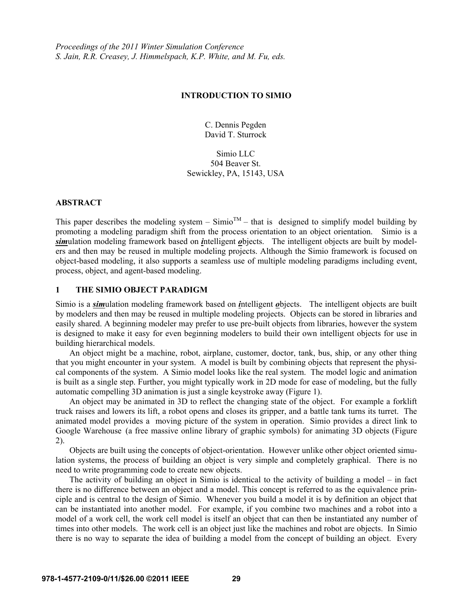### **INTRODUCTION TO SIMIO**

C. Dennis Pegden David T. Sturrock

Simio LLC 504 Beaver St. Sewickley, PA, 15143, USA

#### **ABSTRACT**

This paper describes the modeling system – Simio<sup>TM</sup> – that is designed to simplify model building by promoting a modeling paradigm shift from the process orientation to an object orientation. Simio is a *sim*ulation modeling framework based on *i*ntelligent *o*bjects. The intelligent objects are built by modelers and then may be reused in multiple modeling projects. Although the Simio framework is focused on object-based modeling, it also supports a seamless use of multiple modeling paradigms including event, process, object, and agent-based modeling.

# **1 THE SIMIO OBJECT PARADIGM**

Simio is a *sim*ulation modeling framework based on *i*ntelligent *o*bjects. The intelligent objects are built by modelers and then may be reused in multiple modeling projects. Objects can be stored in libraries and easily shared. A beginning modeler may prefer to use pre-built objects from libraries, however the system is designed to make it easy for even beginning modelers to build their own intelligent objects for use in building hierarchical models.

 An object might be a machine, robot, airplane, customer, doctor, tank, bus, ship, or any other thing that you might encounter in your system. A model is built by combining objects that represent the physical components of the system. A Simio model looks like the real system. The model logic and animation is built as a single step. Further, you might typically work in 2D mode for ease of modeling, but the fully automatic compelling 3D animation is just a single keystroke away (Figure 1).

 An object may be animated in 3D to reflect the changing state of the object. For example a forklift truck raises and lowers its lift, a robot opens and closes its gripper, and a battle tank turns its turret. The animated model provides a moving picture of the system in operation. Simio provides a direct link to Google Warehouse (a free massive online library of graphic symbols) for animating 3D objects (Figure 2).

 Objects are built using the concepts of object-orientation. However unlike other object oriented simulation systems, the process of building an object is very simple and completely graphical. There is no need to write programming code to create new objects.

 The activity of building an object in Simio is identical to the activity of building a model – in fact there is no difference between an object and a model. This concept is referred to as the equivalence principle and is central to the design of Simio. Whenever you build a model it is by definition an object that can be instantiated into another model. For example, if you combine two machines and a robot into a model of a work cell, the work cell model is itself an object that can then be instantiated any number of times into other models. The work cell is an object just like the machines and robot are objects. In Simio there is no way to separate the idea of building a model from the concept of building an object. Every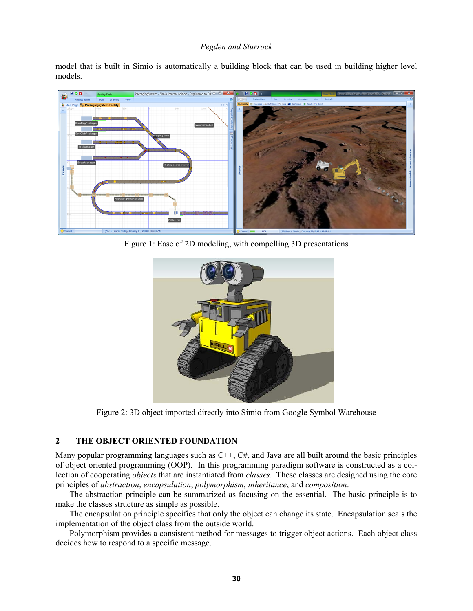model that is built in Simio is automatically a building block that can be used in building higher level models.



Figure 1: Ease of 2D modeling, with compelling 3D presentations



Figure 2: 3D object imported directly into Simio from Google Symbol Warehouse

# **2 THE OBJECT ORIENTED FOUNDATION**

Many popular programming languages such as  $C++$ ,  $C#$ , and Java are all built around the basic principles of object oriented programming (OOP). In this programming paradigm software is constructed as a collection of cooperating *objects* that are instantiated from *classes*. These classes are designed using the core principles of *abstraction*, *encapsulation*, *polymorphism*, *inheritance*, and *composition*.

 The abstraction principle can be summarized as focusing on the essential. The basic principle is to make the classes structure as simple as possible.

 The encapsulation principle specifies that only the object can change its state. Encapsulation seals the implementation of the object class from the outside world.

 Polymorphism provides a consistent method for messages to trigger object actions. Each object class decides how to respond to a specific message.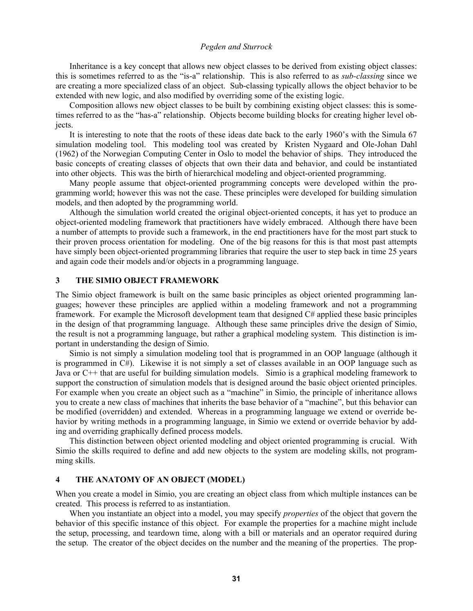Inheritance is a key concept that allows new object classes to be derived from existing object classes: this is sometimes referred to as the "is-a" relationship. This is also referred to as *sub-classing* since we are creating a more specialized class of an object. Sub-classing typically allows the object behavior to be extended with new logic, and also modified by overriding some of the existing logic.

 Composition allows new object classes to be built by combining existing object classes: this is sometimes referred to as the "has-a" relationship. Objects become building blocks for creating higher level objects.

 It is interesting to note that the roots of these ideas date back to the early 1960's with the Simula 67 simulation modeling tool. This modeling tool was created by Kristen Nygaard and Ole-Johan Dahl (1962) of the Norwegian Computing Center in Oslo to model the behavior of ships. They introduced the basic concepts of creating classes of objects that own their data and behavior, and could be instantiated into other objects. This was the birth of hierarchical modeling and object-oriented programming.

 Many people assume that object-oriented programming concepts were developed within the programming world; however this was not the case. These principles were developed for building simulation models, and then adopted by the programming world.

 Although the simulation world created the original object-oriented concepts, it has yet to produce an object-oriented modeling framework that practitioners have widely embraced. Although there have been a number of attempts to provide such a framework, in the end practitioners have for the most part stuck to their proven process orientation for modeling. One of the big reasons for this is that most past attempts have simply been object-oriented programming libraries that require the user to step back in time 25 years and again code their models and/or objects in a programming language.

## **3 THE SIMIO OBJECT FRAMEWORK**

The Simio object framework is built on the same basic principles as object oriented programming languages; however these principles are applied within a modeling framework and not a programming framework. For example the Microsoft development team that designed C# applied these basic principles in the design of that programming language. Although these same principles drive the design of Simio, the result is not a programming language, but rather a graphical modeling system. This distinction is important in understanding the design of Simio.

 Simio is not simply a simulation modeling tool that is programmed in an OOP language (although it is programmed in C#). Likewise it is not simply a set of classes available in an OOP language such as Java or C++ that are useful for building simulation models. Simio is a graphical modeling framework to support the construction of simulation models that is designed around the basic object oriented principles. For example when you create an object such as a "machine" in Simio, the principle of inheritance allows you to create a new class of machines that inherits the base behavior of a "machine", but this behavior can be modified (overridden) and extended. Whereas in a programming language we extend or override behavior by writing methods in a programming language, in Simio we extend or override behavior by adding and overriding graphically defined process models.

 This distinction between object oriented modeling and object oriented programming is crucial. With Simio the skills required to define and add new objects to the system are modeling skills, not programming skills.

## **4 THE ANATOMY OF AN OBJECT (MODEL)**

When you create a model in Simio, you are creating an object class from which multiple instances can be created. This process is referred to as instantiation.

 When you instantiate an object into a model, you may specify *properties* of the object that govern the behavior of this specific instance of this object. For example the properties for a machine might include the setup, processing, and teardown time, along with a bill or materials and an operator required during the setup. The creator of the object decides on the number and the meaning of the properties. The prop-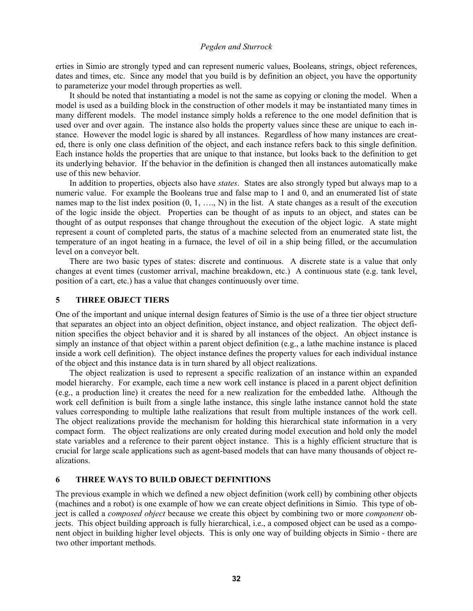erties in Simio are strongly typed and can represent numeric values, Booleans, strings, object references, dates and times, etc. Since any model that you build is by definition an object, you have the opportunity to parameterize your model through properties as well.

 It should be noted that instantiating a model is not the same as copying or cloning the model. When a model is used as a building block in the construction of other models it may be instantiated many times in many different models. The model instance simply holds a reference to the one model definition that is used over and over again. The instance also holds the property values since these are unique to each instance. However the model logic is shared by all instances. Regardless of how many instances are created, there is only one class definition of the object, and each instance refers back to this single definition. Each instance holds the properties that are unique to that instance, but looks back to the definition to get its underlying behavior. If the behavior in the definition is changed then all instances automatically make use of this new behavior.

 In addition to properties, objects also have *states*. States are also strongly typed but always map to a numeric value. For example the Booleans true and false map to 1 and 0, and an enumerated list of state names map to the list index position  $(0, 1, \ldots, N)$  in the list. A state changes as a result of the execution of the logic inside the object. Properties can be thought of as inputs to an object, and states can be thought of as output responses that change throughout the execution of the object logic. A state might represent a count of completed parts, the status of a machine selected from an enumerated state list, the temperature of an ingot heating in a furnace, the level of oil in a ship being filled, or the accumulation level on a conveyor belt.

 There are two basic types of states: discrete and continuous. A discrete state is a value that only changes at event times (customer arrival, machine breakdown, etc.) A continuous state (e.g. tank level, position of a cart, etc.) has a value that changes continuously over time.

#### **5 THREE OBJECT TIERS**

One of the important and unique internal design features of Simio is the use of a three tier object structure that separates an object into an object definition, object instance, and object realization. The object definition specifies the object behavior and it is shared by all instances of the object. An object instance is simply an instance of that object within a parent object definition (e.g., a lathe machine instance is placed inside a work cell definition). The object instance defines the property values for each individual instance of the object and this instance data is in turn shared by all object realizations.

 The object realization is used to represent a specific realization of an instance within an expanded model hierarchy. For example, each time a new work cell instance is placed in a parent object definition (e.g., a production line) it creates the need for a new realization for the embedded lathe. Although the work cell definition is built from a single lathe instance, this single lathe instance cannot hold the state values corresponding to multiple lathe realizations that result from multiple instances of the work cell. The object realizations provide the mechanism for holding this hierarchical state information in a very compact form. The object realizations are only created during model execution and hold only the model state variables and a reference to their parent object instance. This is a highly efficient structure that is crucial for large scale applications such as agent-based models that can have many thousands of object realizations.

# **6 THREE WAYS TO BUILD OBJECT DEFINITIONS**

The previous example in which we defined a new object definition (work cell) by combining other objects (machines and a robot) is one example of how we can create object definitions in Simio. This type of object is called a *composed object* because we create this object by combining two or more *component* objects. This object building approach is fully hierarchical, i.e., a composed object can be used as a component object in building higher level objects. This is only one way of building objects in Simio - there are two other important methods.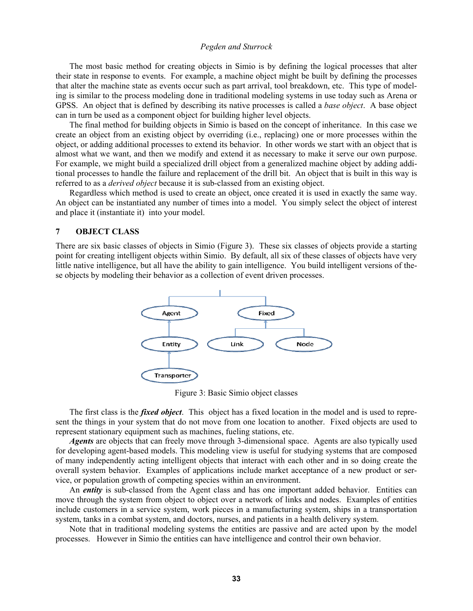The most basic method for creating objects in Simio is by defining the logical processes that alter their state in response to events. For example, a machine object might be built by defining the processes that alter the machine state as events occur such as part arrival, tool breakdown, etc. This type of modeling is similar to the process modeling done in traditional modeling systems in use today such as Arena or GPSS. An object that is defined by describing its native processes is called a *base object*. A base object can in turn be used as a component object for building higher level objects.

 The final method for building objects in Simio is based on the concept of inheritance. In this case we create an object from an existing object by overriding (i.e., replacing) one or more processes within the object, or adding additional processes to extend its behavior. In other words we start with an object that is almost what we want, and then we modify and extend it as necessary to make it serve our own purpose. For example, we might build a specialized drill object from a generalized machine object by adding additional processes to handle the failure and replacement of the drill bit. An object that is built in this way is referred to as a *derived object* because it is sub-classed from an existing object.

 Regardless which method is used to create an object, once created it is used in exactly the same way. An object can be instantiated any number of times into a model. You simply select the object of interest and place it (instantiate it) into your model.

## **7 OBJECT CLASS**

There are six basic classes of objects in Simio (Figure 3). These six classes of objects provide a starting point for creating intelligent objects within Simio. By default, all six of these classes of objects have very little native intelligence, but all have the ability to gain intelligence. You build intelligent versions of these objects by modeling their behavior as a collection of event driven processes.



Figure 3: Basic Simio object classes

 The first class is the *fixed object*. This object has a fixed location in the model and is used to represent the things in your system that do not move from one location to another. Fixed objects are used to represent stationary equipment such as machines, fueling stations, etc.

 *Agents* are objects that can freely move through 3-dimensional space. Agents are also typically used for developing agent-based models. This modeling view is useful for studying systems that are composed of many independently acting intelligent objects that interact with each other and in so doing create the overall system behavior. Examples of applications include market acceptance of a new product or service, or population growth of competing species within an environment.

 An *entity* is sub-classed from the Agent class and has one important added behavior. Entities can move through the system from object to object over a network of links and nodes. Examples of entities include customers in a service system, work pieces in a manufacturing system, ships in a transportation system, tanks in a combat system, and doctors, nurses, and patients in a health delivery system.

 Note that in traditional modeling systems the entities are passive and are acted upon by the model processes. However in Simio the entities can have intelligence and control their own behavior.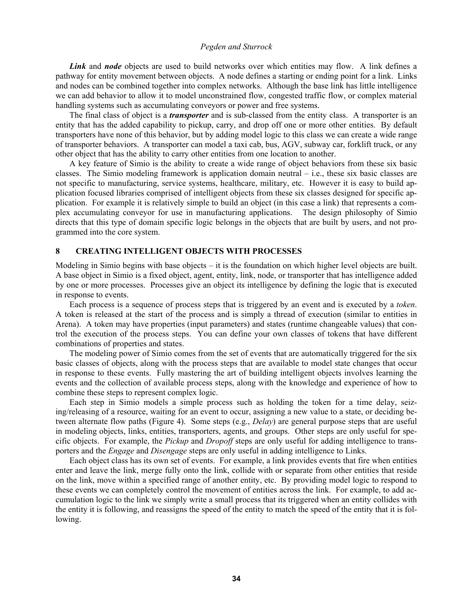*Link* and *node* objects are used to build networks over which entities may flow. A link defines a pathway for entity movement between objects. A node defines a starting or ending point for a link. Links and nodes can be combined together into complex networks. Although the base link has little intelligence we can add behavior to allow it to model unconstrained flow, congested traffic flow, or complex material handling systems such as accumulating conveyors or power and free systems.

 The final class of object is a *transporter* and is sub-classed from the entity class. A transporter is an entity that has the added capability to pickup, carry, and drop off one or more other entities. By default transporters have none of this behavior, but by adding model logic to this class we can create a wide range of transporter behaviors. A transporter can model a taxi cab, bus, AGV, subway car, forklift truck, or any other object that has the ability to carry other entities from one location to another.

 A key feature of Simio is the ability to create a wide range of object behaviors from these six basic classes. The Simio modeling framework is application domain neutral  $-$  i.e., these six basic classes are not specific to manufacturing, service systems, healthcare, military, etc. However it is easy to build application focused libraries comprised of intelligent objects from these six classes designed for specific application. For example it is relatively simple to build an object (in this case a link) that represents a complex accumulating conveyor for use in manufacturing applications. The design philosophy of Simio directs that this type of domain specific logic belongs in the objects that are built by users, and not programmed into the core system.

## **8 CREATING INTELLIGENT OBJECTS WITH PROCESSES**

Modeling in Simio begins with base objects  $-$  it is the foundation on which higher level objects are built. A base object in Simio is a fixed object, agent, entity, link, node, or transporter that has intelligence added by one or more processes. Processes give an object its intelligence by defining the logic that is executed in response to events.

 Each process is a sequence of process steps that is triggered by an event and is executed by a *token*. A token is released at the start of the process and is simply a thread of execution (similar to entities in Arena). A token may have properties (input parameters) and states (runtime changeable values) that control the execution of the process steps. You can define your own classes of tokens that have different combinations of properties and states.

 The modeling power of Simio comes from the set of events that are automatically triggered for the six basic classes of objects, along with the process steps that are available to model state changes that occur in response to these events. Fully mastering the art of building intelligent objects involves learning the events and the collection of available process steps, along with the knowledge and experience of how to combine these steps to represent complex logic.

 Each step in Simio models a simple process such as holding the token for a time delay, seizing/releasing of a resource, waiting for an event to occur, assigning a new value to a state, or deciding between alternate flow paths (Figure 4). Some steps (e.g., *Delay*) are general purpose steps that are useful in modeling objects, links, entities, transporters, agents, and groups. Other steps are only useful for specific objects. For example, the *Pickup* and *Dropoff* steps are only useful for adding intelligence to transporters and the *Engage* and *Disengage* steps are only useful in adding intelligence to Links.

 Each object class has its own set of events. For example, a link provides events that fire when entities enter and leave the link, merge fully onto the link, collide with or separate from other entities that reside on the link, move within a specified range of another entity, etc. By providing model logic to respond to these events we can completely control the movement of entities across the link. For example, to add accumulation logic to the link we simply write a small process that its triggered when an entity collides with the entity it is following, and reassigns the speed of the entity to match the speed of the entity that it is following.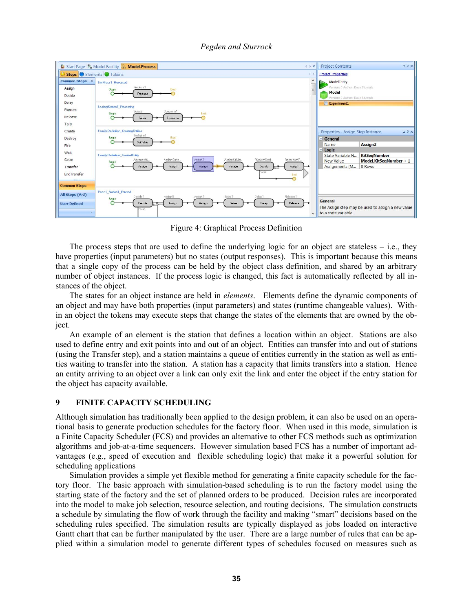

Figure 4: Graphical Process Definition

 The process steps that are used to define the underlying logic for an object are stateless – i.e., they have properties (input parameters) but no states (output responses). This is important because this means that a single copy of the process can be held by the object class definition, and shared by an arbitrary number of object instances. If the process logic is changed, this fact is automatically reflected by all instances of the object.

 The states for an object instance are held in *elements*. Elements define the dynamic components of an object and may have both properties (input parameters) and states (runtime changeable values). Within an object the tokens may execute steps that change the states of the elements that are owned by the object.

 An example of an element is the station that defines a location within an object. Stations are also used to define entry and exit points into and out of an object. Entities can transfer into and out of stations (using the Transfer step), and a station maintains a queue of entities currently in the station as well as entities waiting to transfer into the station. A station has a capacity that limits transfers into a station. Hence an entity arriving to an object over a link can only exit the link and enter the object if the entry station for the object has capacity available.

# **9 FINITE CAPACITY SCHEDULING**

Although simulation has traditionally been applied to the design problem, it can also be used on an operational basis to generate production schedules for the factory floor. When used in this mode, simulation is a Finite Capacity Scheduler (FCS) and provides an alternative to other FCS methods such as optimization algorithms and job-at-a-time sequencers. However simulation based FCS has a number of important advantages (e.g., speed of execution and flexible scheduling logic) that make it a powerful solution for scheduling applications

 Simulation provides a simple yet flexible method for generating a finite capacity schedule for the factory floor. The basic approach with simulation-based scheduling is to run the factory model using the starting state of the factory and the set of planned orders to be produced. Decision rules are incorporated into the model to make job selection, resource selection, and routing decisions. The simulation constructs a schedule by simulating the flow of work through the facility and making "smart" decisions based on the scheduling rules specified. The simulation results are typically displayed as jobs loaded on interactive Gantt chart that can be further manipulated by the user. There are a large number of rules that can be applied within a simulation model to generate different types of schedules focused on measures such as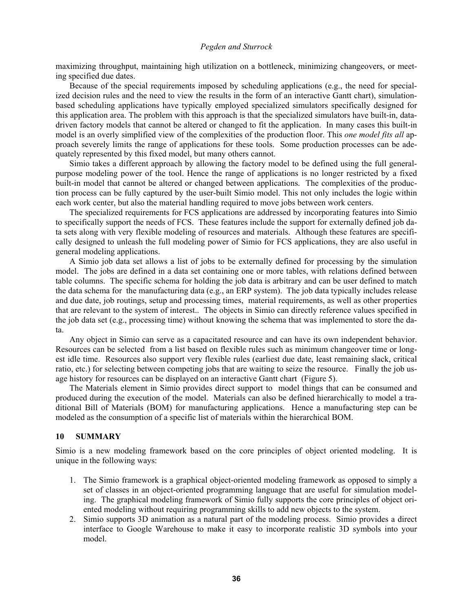maximizing throughput, maintaining high utilization on a bottleneck, minimizing changeovers, or meeting specified due dates.

 Because of the special requirements imposed by scheduling applications (e.g., the need for specialized decision rules and the need to view the results in the form of an interactive Gantt chart), simulationbased scheduling applications have typically employed specialized simulators specifically designed for this application area. The problem with this approach is that the specialized simulators have built-in, datadriven factory models that cannot be altered or changed to fit the application. In many cases this built-in model is an overly simplified view of the complexities of the production floor. This *one model fits all* approach severely limits the range of applications for these tools. Some production processes can be adequately represented by this fixed model, but many others cannot.

 Simio takes a different approach by allowing the factory model to be defined using the full generalpurpose modeling power of the tool. Hence the range of applications is no longer restricted by a fixed built-in model that cannot be altered or changed between applications. The complexities of the production process can be fully captured by the user-built Simio model. This not only includes the logic within each work center, but also the material handling required to move jobs between work centers.

 The specialized requirements for FCS applications are addressed by incorporating features into Simio to specifically support the needs of FCS. These features include the support for externally defined job data sets along with very flexible modeling of resources and materials. Although these features are specifically designed to unleash the full modeling power of Simio for FCS applications, they are also useful in general modeling applications.

 A Simio job data set allows a list of jobs to be externally defined for processing by the simulation model. The jobs are defined in a data set containing one or more tables, with relations defined between table columns. The specific schema for holding the job data is arbitrary and can be user defined to match the data schema for the manufacturing data (e.g., an ERP system). The job data typically includes release and due date, job routings, setup and processing times, material requirements, as well as other properties that are relevant to the system of interest.. The objects in Simio can directly reference values specified in the job data set (e.g., processing time) without knowing the schema that was implemented to store the data.

 Any object in Simio can serve as a capacitated resource and can have its own independent behavior. Resources can be selected from a list based on flexible rules such as minimum changeover time or longest idle time. Resources also support very flexible rules (earliest due date, least remaining slack, critical ratio, etc.) for selecting between competing jobs that are waiting to seize the resource. Finally the job usage history for resources can be displayed on an interactive Gantt chart (Figure 5).

 The Materials element in Simio provides direct support to model things that can be consumed and produced during the execution of the model. Materials can also be defined hierarchically to model a traditional Bill of Materials (BOM) for manufacturing applications. Hence a manufacturing step can be modeled as the consumption of a specific list of materials within the hierarchical BOM.

#### **10 SUMMARY**

Simio is a new modeling framework based on the core principles of object oriented modeling. It is unique in the following ways:

- 1. The Simio framework is a graphical object-oriented modeling framework as opposed to simply a set of classes in an object-oriented programming language that are useful for simulation modeling. The graphical modeling framework of Simio fully supports the core principles of object oriented modeling without requiring programming skills to add new objects to the system.
- 2. Simio supports 3D animation as a natural part of the modeling process. Simio provides a direct interface to Google Warehouse to make it easy to incorporate realistic 3D symbols into your model.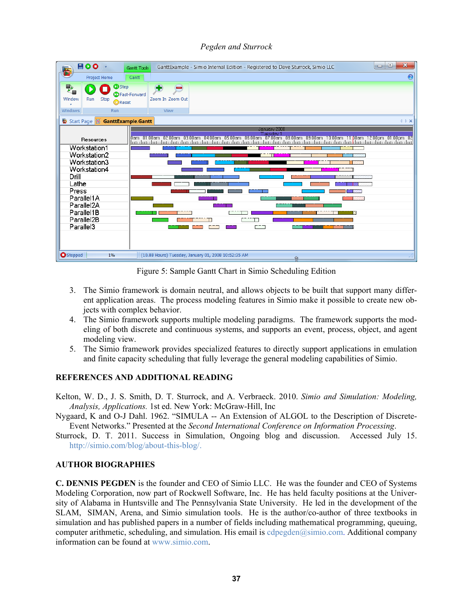| <b>HOO</b><br><b>Gantt Tools</b><br>B                                                                | $\mathbf{x}$<br>$\Box$<br>$\qquad \qquad \Box$<br>GanttExample - Simio Internal Edition - Registered to Dave Sturrock, Simio LLC                                                                                                                    |
|------------------------------------------------------------------------------------------------------|-----------------------------------------------------------------------------------------------------------------------------------------------------------------------------------------------------------------------------------------------------|
| <b>Project Home</b><br>Gantt                                                                         | ⋒                                                                                                                                                                                                                                                   |
| <b>Q</b> Step<br><b>A</b><br><b>D</b> Fast-Forward<br>Window<br><b>Stop</b><br>Run<br><b>C</b> Reset | Zoom In Zoom Out                                                                                                                                                                                                                                    |
| Windows<br><b>Run</b>                                                                                | <b>View</b>                                                                                                                                                                                                                                         |
| <b>GanttExample.Gantt</b><br>봕<br>$\triangleleft$ $\triangleright$ $\times$<br><b>图 Start Page</b>   |                                                                                                                                                                                                                                                     |
| <b>Resources</b><br>Workstation1                                                                     | January 2008<br>ساب 11:00am 02:00am 03:00am 04:00am 05:00am 06:00am 10:00am 03:00am 11:00am 12:00am 03:00am 03:00am 03:00am 0<br>با المسابق المسابق المسابق المسابق المسابق المسابق المسابق المسابق المسابق المسابق المسابق المسابق المسابق الم<br> |
| Workstation2                                                                                         |                                                                                                                                                                                                                                                     |
| Workstation3                                                                                         |                                                                                                                                                                                                                                                     |
| Workstation4<br>Drill                                                                                |                                                                                                                                                                                                                                                     |
| Lathe                                                                                                |                                                                                                                                                                                                                                                     |
| Press                                                                                                |                                                                                                                                                                                                                                                     |
| Parallel1A                                                                                           |                                                                                                                                                                                                                                                     |
| Parallel <sub>2A</sub>                                                                               |                                                                                                                                                                                                                                                     |
| Parallel1B                                                                                           |                                                                                                                                                                                                                                                     |
| Parallel <sub>2B</sub><br>Parallel3                                                                  | ---                                                                                                                                                                                                                                                 |
|                                                                                                      |                                                                                                                                                                                                                                                     |
| <b>O</b> Stopped<br>1%                                                                               | (10.88 Hours) Tuesday, January 01, 2008 10:52:35 AM<br>al.<br>슢                                                                                                                                                                                     |

Figure 5: Sample Gantt Chart in Simio Scheduling Edition

- 3. The Simio framework is domain neutral, and allows objects to be built that support many different application areas. The process modeling features in Simio make it possible to create new objects with complex behavior.
- 4. The Simio framework supports multiple modeling paradigms. The framework supports the modeling of both discrete and continuous systems, and supports an event, process, object, and agent modeling view.
- 5. The Simio framework provides specialized features to directly support applications in emulation and finite capacity scheduling that fully leverage the general modeling capabilities of Simio.

# **REFERENCES AND ADDITIONAL READING**

- Kelton, W. D., J. S. Smith, D. T. Sturrock, and A. Verbraeck. 2010. *Simio and Simulation: Modeling, Analysis, Applications.* 1st ed. New York: McGraw-Hill, Inc
- Nygaard, K and O-J Dahl. 1962. "SIMULA -- An Extension of ALGOL to the Description of Discrete-Event Networks." Presented at the *Second International Conference on Information Processing*.
- Sturrock, D. T. 2011. Success in Simulation, Ongoing blog and discussion. Accessed July 15. http://simio.com/blog/about-this-blog/.

# **AUTHOR BIOGRAPHIES**

**C. DENNIS PEGDEN** is the founder and CEO of Simio LLC. He was the founder and CEO of Systems Modeling Corporation, now part of Rockwell Software, Inc. He has held faculty positions at the University of Alabama in Huntsville and The Pennsylvania State University. He led in the development of the SLAM, SIMAN, Arena, and Simio simulation tools. He is the author/co-author of three textbooks in simulation and has published papers in a number of fields including mathematical programming, queuing, computer arithmetic, scheduling, and simulation. His email is cdpegden@simio.com. Additional company information can be found at www.simio.com.